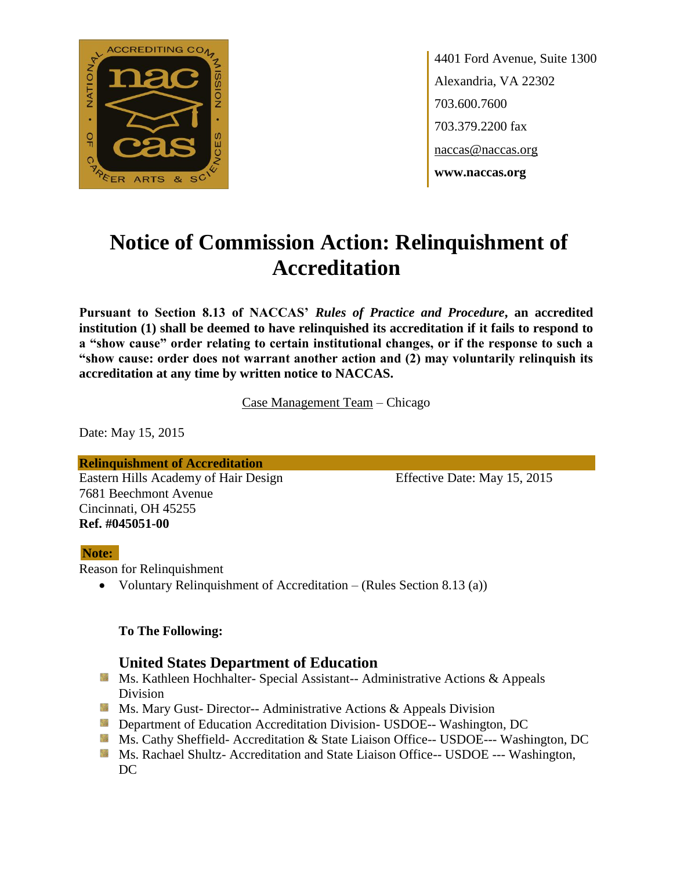

4401 Ford Avenue, Suite 1300 Alexandria, VA 22302 703.600.7600 703.379.2200 fax naccas@naccas.org **www.naccas.org**

# **Notice of Commission Action: Relinquishment of Accreditation**

**Pursuant to Section 8.13 of NACCAS'** *Rules of Practice and Procedure***, an accredited institution (1) shall be deemed to have relinquished its accreditation if it fails to respond to a "show cause" order relating to certain institutional changes, or if the response to such a "show cause: order does not warrant another action and (2) may voluntarily relinquish its accreditation at any time by written notice to NACCAS.**

Case Management Team – Chicago

Date: May 15, 2015

**Relinquishment of Accreditation** Eastern Hills Academy of Hair Design Effective Date: May 15, 2015 7681 Beechmont Avenue Cincinnati, OH 45255 **Ref. #045051-00**

#### **Note:**

Reason for Relinquishment

Voluntary Relinquishment of Accreditation – (Rules Section 8.13 (a))

#### **To The Following:**

### **United States Department of Education**

- **Ms. Kathleen Hochhalter- Special Assistant-- Administrative Actions & Appeals** Division
- **Ms. Mary Gust- Director-- Administrative Actions & Appeals Division**
- **Department of Education Accreditation Division- USDOE-- Washington, DC**
- Ms. Cathy Sheffield- Accreditation & State Liaison Office-- USDOE--- Washington, DC
- **MS. Rachael Shultz- Accreditation and State Liaison Office-- USDOE --- Washington,** DC